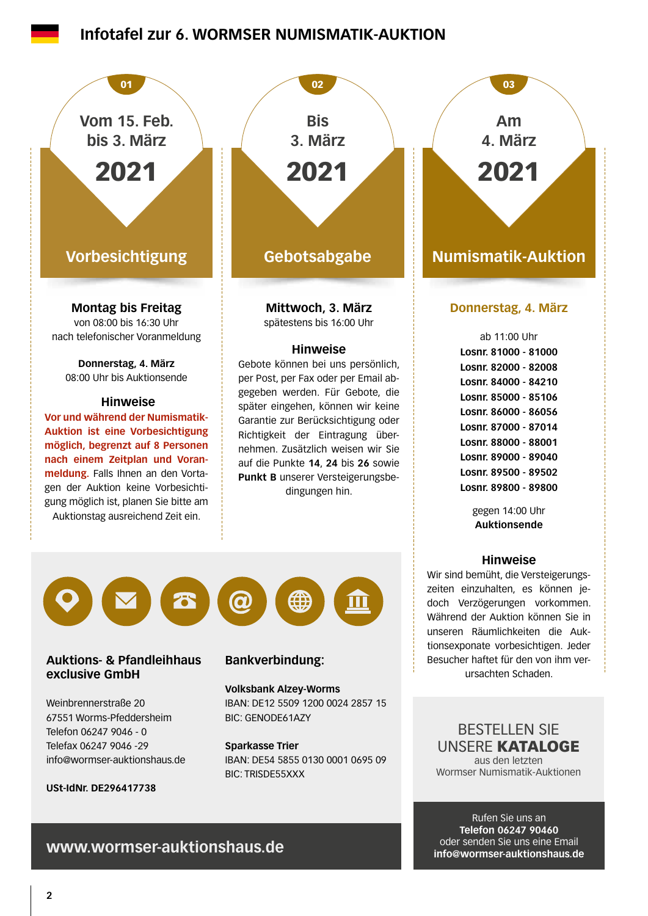### **Infotafel zur 6. WORMSER NUMISMATIK-AUKTION**



Weinbrennerstraße 20 67551 Worms-Pfeddersheim Telefon 06247 9046 - 0 Telefax 06247 9046 -29 info@wormser-auktionshaus.de

**USt-IdNr. DE296417738**

**Volksbank Alzey-Worms** IBAN: DE12 5509 1200 0024 2857 15 BIC: GENODE61AZY

**Sparkasse Trier** IBAN: DE54 5855 0130 0001 0695 09 BIC: TRISDE55XXX

BESTELLEN SIE UNSERE KATALOGE aus den letzten Wormser Numismatik-Auktionen

Rufen Sie uns an **Telefon 06247 90460** oder senden Sie uns eine Email **info@wormser-auktionshaus.de**

### **www.wormser-auktionshaus.de**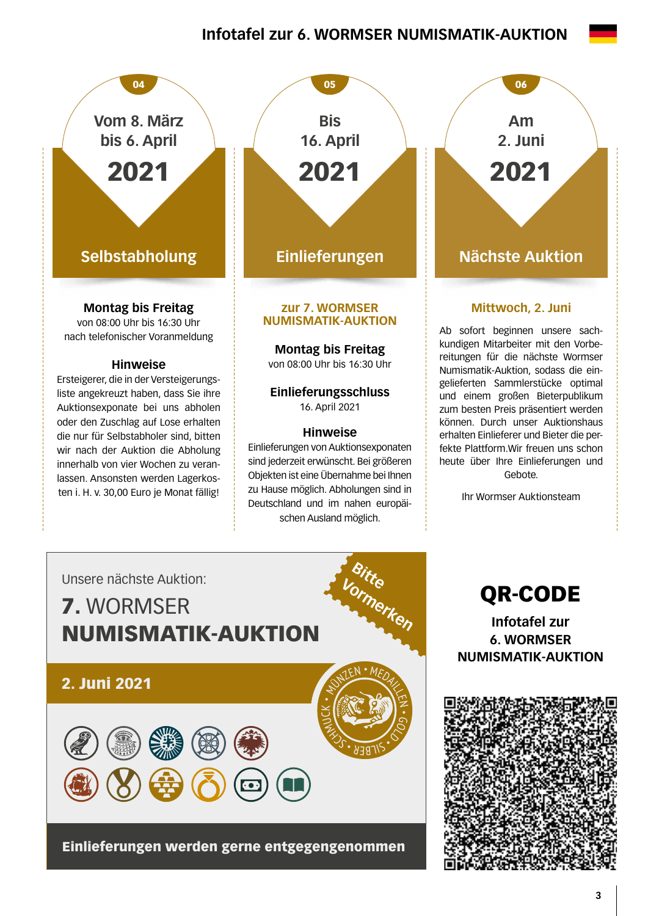## **Infotafel zur 6. WORMSER NUMISMATIK-AUKTION**



ten i. H. v. 30,00 Euro je Monat fällig!



#### **zur 7. WORMSER NUMISMATIK-AUKTION**

**Montag bis Freitag** 

von 08:00 Uhr bis 16:30 Uhr

**Einlieferungsschluss**  16. April 2021

### **Hinweise**

Einlieferungen von Auktionsexponaten sind jederzeit erwünscht. Bei größeren Objekten ist eine Übernahme bei Ihnen zu Hause möglich. Abholungen sind in Deutschland und im nahen europäischen Ausland möglich.

**Nächste Auktion Am 2. Juni** 2021

06

### **Mittwoch, 2. Juni**

Ab sofort beginnen unsere sachkundigen Mitarbeiter mit den Vorbereitungen für die nächste Wormser Numismatik-Auktion, sodass die eingelieferten Sammlerstücke optimal und einem großen Bieterpublikum zum besten Preis präsentiert werden können. Durch unser Auktionshaus erhalten Einlieferer und Bieter die perfekte Plattform.Wir freuen uns schon heute über Ihre Einlieferungen und Gebote.

Ihr Wormser Auktionsteam



QR-CODE

**Infotafel zur 6. WORMSER NUMISMATIK-AUKTION**

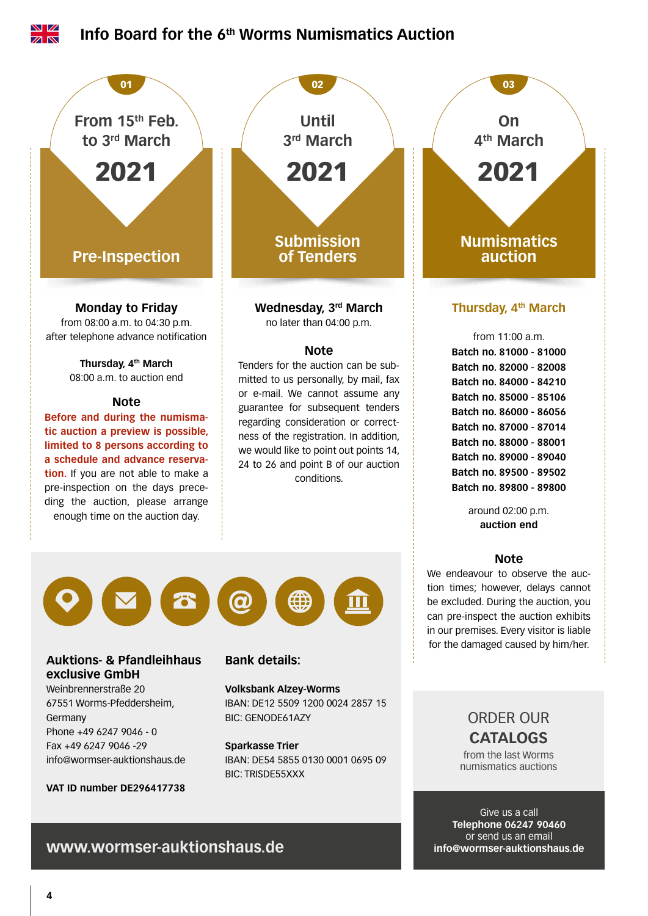

Give us a call **Telephone 06247 90460** or send us an email **info@wormser-auktionshaus.de**

### **www.wormser-auktionshaus.de**